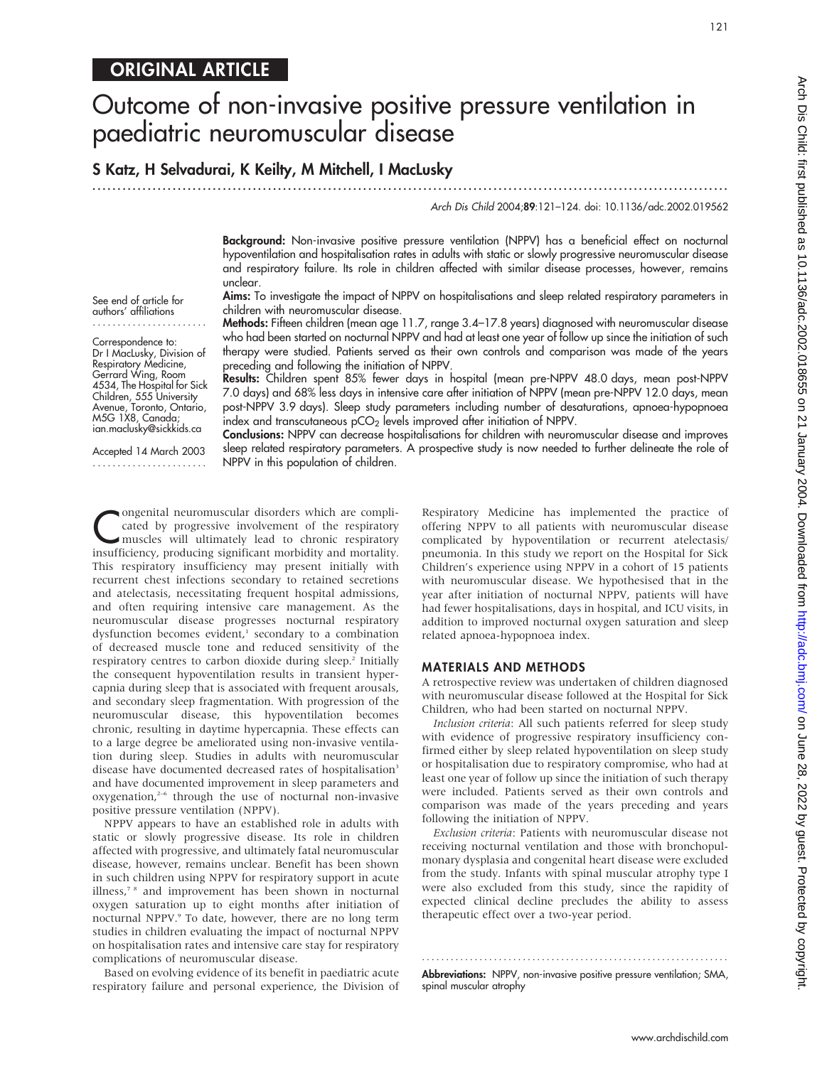# ORIGINAL ARTICLE

# Outcome of non-invasive positive pressure ventilation in paediatric neuromuscular disease

# S Katz, H Selvadurai, K Keilty, M Mitchell, I MacLusky

.............................................................................................................................. .

## Arch Dis Child 2004;89:121–124. doi: 10.1136/adc.2002.019562

121

Background: Non-invasive positive pressure ventilation (NPPV) has a beneficial effect on nocturnal hypoventilation and hospitalisation rates in adults with static or slowly progressive neuromuscular disease and respiratory failure. Its role in children affected with similar disease processes, however, remains unclear.

Aims: To investigate the impact of NPPV on hospitalisations and sleep related respiratory parameters in children with neuromuscular disease.

Methods: Fifteen children (mean age 11.7, range 3.4–17.8 years) diagnosed with neuromuscular disease who had been started on nocturnal NPPV and had at least one year of follow up since the initiation of such therapy were studied. Patients served as their own controls and comparison was made of the years preceding and following the initiation of NPPV.

Results: Children spent 85% fewer days in hospital (mean pre-NPPV 48.0 days, mean post-NPPV 7.0 days) and 68% less days in intensive care after initiation of NPPV (mean pre-NPPV 12.0 days, mean post-NPPV 3.9 days). Sleep study parameters including number of desaturations, apnoea-hypopnoea index and transcutaneous  $pCO<sub>2</sub>$  levels improved after initiation of NPPV.

Conclusions: NPPV can decrease hospitalisations for children with neuromuscular disease and improves sleep related respiratory parameters. A prospective study is now needed to further delineate the role of NPPV in this population of children.

Congenital neuromuscular disorders which are complicated by progressive involvement of the respiratory muscles will ultimately lead to chronic respiratory insufficiency producing significant merbidity and mertality cated by progressive involvement of the respiratory muscles will ultimately lead to chronic respiratory insufficiency, producing significant morbidity and mortality. This respiratory insufficiency may present initially with recurrent chest infections secondary to retained secretions and atelectasis, necessitating frequent hospital admissions, and often requiring intensive care management. As the neuromuscular disease progresses nocturnal respiratory dysfunction becomes evident,<sup>1</sup> secondary to a combination of decreased muscle tone and reduced sensitivity of the respiratory centres to carbon dioxide during sleep.<sup>2</sup> Initially the consequent hypoventilation results in transient hypercapnia during sleep that is associated with frequent arousals, and secondary sleep fragmentation. With progression of the neuromuscular disease, this hypoventilation becomes chronic, resulting in daytime hypercapnia. These effects can to a large degree be ameliorated using non-invasive ventilation during sleep. Studies in adults with neuromuscular disease have documented decreased rates of hospitalisation<sup>3</sup> and have documented improvement in sleep parameters and oxygenation,<sup>2-6</sup> through the use of nocturnal non-invasive positive pressure ventilation (NPPV).

NPPV appears to have an established role in adults with static or slowly progressive disease. Its role in children affected with progressive, and ultimately fatal neuromuscular disease, however, remains unclear. Benefit has been shown in such children using NPPV for respiratory support in acute illness,7 8 and improvement has been shown in nocturnal oxygen saturation up to eight months after initiation of nocturnal NPPV.9 To date, however, there are no long term studies in children evaluating the impact of nocturnal NPPV on hospitalisation rates and intensive care stay for respiratory complications of neuromuscular disease.

Based on evolving evidence of its benefit in paediatric acute respiratory failure and personal experience, the Division of Respiratory Medicine has implemented the practice of offering NPPV to all patients with neuromuscular disease complicated by hypoventilation or recurrent atelectasis/ pneumonia. In this study we report on the Hospital for Sick Children's experience using NPPV in a cohort of 15 patients with neuromuscular disease. We hypothesised that in the year after initiation of nocturnal NPPV, patients will have had fewer hospitalisations, days in hospital, and ICU visits, in addition to improved nocturnal oxygen saturation and sleep related apnoea-hypopnoea index.

# MATERIALS AND METHODS

A retrospective review was undertaken of children diagnosed with neuromuscular disease followed at the Hospital for Sick Children, who had been started on nocturnal NPPV.

Inclusion criteria: All such patients referred for sleep study with evidence of progressive respiratory insufficiency confirmed either by sleep related hypoventilation on sleep study or hospitalisation due to respiratory compromise, who had at least one year of follow up since the initiation of such therapy were included. Patients served as their own controls and comparison was made of the years preceding and years following the initiation of NPPV.

Exclusion criteria: Patients with neuromuscular disease not receiving nocturnal ventilation and those with bronchopulmonary dysplasia and congenital heart disease were excluded from the study. Infants with spinal muscular atrophy type I were also excluded from this study, since the rapidity of expected clinical decline precludes the ability to assess therapeutic effect over a two-year period.

Abbreviations: NPPV, non-invasive positive pressure ventilation; SMA, spinal muscular atrophy

............................................................... .

Correspondence to: Dr I MacLusky, Division of Respiratory Medicine, Gerrard Wing, Room 4534, The Hospital for Sick Children, 555 University Avenue, Toronto, Ontario, M5G 1X8, Canada; ian.maclusky@sickkids.ca

See end of article for authors' affiliations .......................

Accepted 14 March 2003 .......................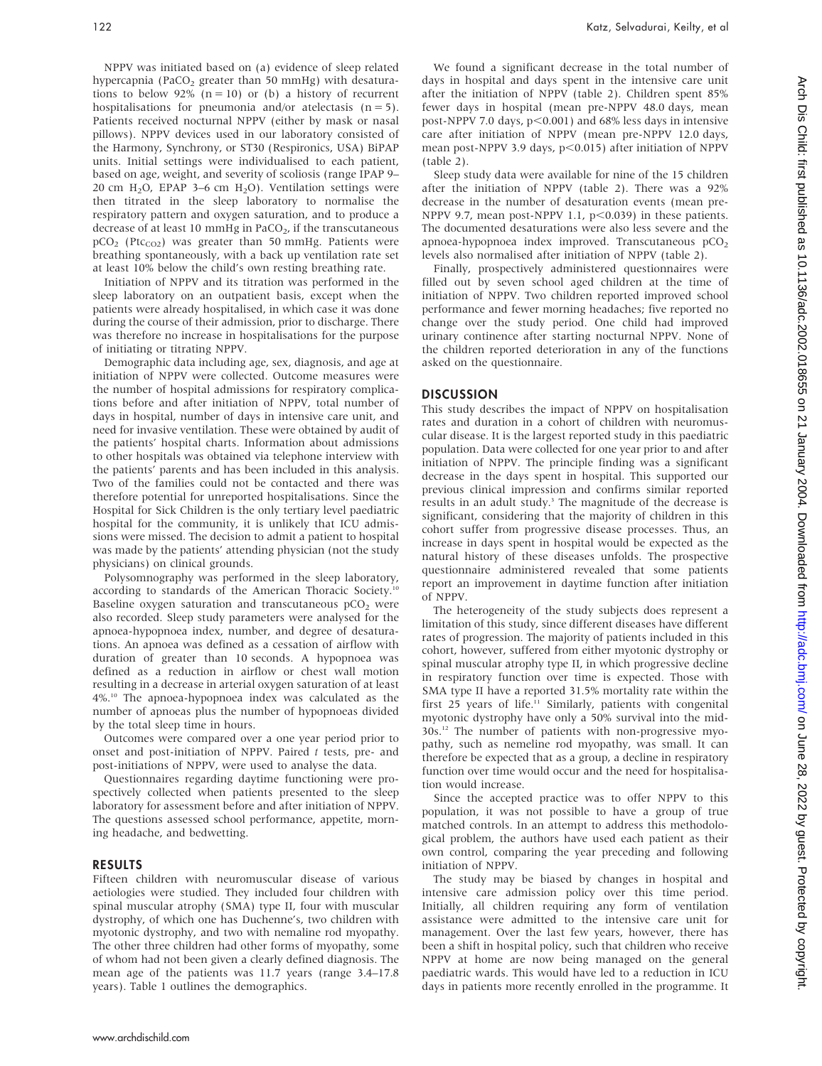NPPV was initiated based on (a) evidence of sleep related hypercapnia (PaCO<sub>2</sub> greater than 50 mmHg) with desaturations to below 92% ( $n = 10$ ) or (b) a history of recurrent hospitalisations for pneumonia and/or atelectasis  $(n = 5)$ . Patients received nocturnal NPPV (either by mask or nasal pillows). NPPV devices used in our laboratory consisted of the Harmony, Synchrony, or ST30 (Respironics, USA) BiPAP units. Initial settings were individualised to each patient, based on age, weight, and severity of scoliosis (range IPAP 9– 20 cm H<sub>2</sub>O, EPAP 3–6 cm H<sub>2</sub>O). Ventilation settings were then titrated in the sleep laboratory to normalise the respiratory pattern and oxygen saturation, and to produce a decrease of at least 10 mmHg in PaCO<sub>2</sub>, if the transcutaneous  $pCO<sub>2</sub>$  (Ptc<sub>CO2</sub>) was greater than 50 mmHg. Patients were breathing spontaneously, with a back up ventilation rate set at least 10% below the child's own resting breathing rate.

Initiation of NPPV and its titration was performed in the sleep laboratory on an outpatient basis, except when the patients were already hospitalised, in which case it was done during the course of their admission, prior to discharge. There was therefore no increase in hospitalisations for the purpose of initiating or titrating NPPV.

Demographic data including age, sex, diagnosis, and age at initiation of NPPV were collected. Outcome measures were the number of hospital admissions for respiratory complications before and after initiation of NPPV, total number of days in hospital, number of days in intensive care unit, and need for invasive ventilation. These were obtained by audit of the patients' hospital charts. Information about admissions to other hospitals was obtained via telephone interview with the patients' parents and has been included in this analysis. Two of the families could not be contacted and there was therefore potential for unreported hospitalisations. Since the Hospital for Sick Children is the only tertiary level paediatric hospital for the community, it is unlikely that ICU admissions were missed. The decision to admit a patient to hospital was made by the patients' attending physician (not the study physicians) on clinical grounds.

Polysomnography was performed in the sleep laboratory, according to standards of the American Thoracic Society.<sup>10</sup> Baseline oxygen saturation and transcutaneous  $pCO<sub>2</sub>$  were also recorded. Sleep study parameters were analysed for the apnoea-hypopnoea index, number, and degree of desaturations. An apnoea was defined as a cessation of airflow with duration of greater than 10 seconds. A hypopnoea was defined as a reduction in airflow or chest wall motion resulting in a decrease in arterial oxygen saturation of at least 4%.10 The apnoea-hypopnoea index was calculated as the number of apnoeas plus the number of hypopnoeas divided by the total sleep time in hours.

Outcomes were compared over a one year period prior to onset and post-initiation of NPPV. Paired t tests, pre- and post-initiations of NPPV, were used to analyse the data.

Questionnaires regarding daytime functioning were prospectively collected when patients presented to the sleep laboratory for assessment before and after initiation of NPPV. The questions assessed school performance, appetite, morning headache, and bedwetting.

# RESULTS

Fifteen children with neuromuscular disease of various aetiologies were studied. They included four children with spinal muscular atrophy (SMA) type II, four with muscular dystrophy, of which one has Duchenne's, two children with myotonic dystrophy, and two with nemaline rod myopathy. The other three children had other forms of myopathy, some of whom had not been given a clearly defined diagnosis. The mean age of the patients was 11.7 years (range 3.4–17.8 years). Table 1 outlines the demographics.

We found a significant decrease in the total number of days in hospital and days spent in the intensive care unit after the initiation of NPPV (table 2). Children spent 85% fewer days in hospital (mean pre-NPPV 48.0 days, mean post-NPPV 7.0 days,  $p<0.001$ ) and 68% less days in intensive care after initiation of NPPV (mean pre-NPPV 12.0 days, mean post-NPPV 3.9 days,  $p<0.015$ ) after initiation of NPPV (table 2).

Sleep study data were available for nine of the 15 children after the initiation of NPPV (table 2). There was a 92% decrease in the number of desaturation events (mean pre-NPPV 9.7, mean post-NPPV 1.1,  $p<0.039$ ) in these patients. The documented desaturations were also less severe and the apnoea-hypopnoea index improved. Transcutaneous  $pCO<sub>2</sub>$ levels also normalised after initiation of NPPV (table 2).

Finally, prospectively administered questionnaires were filled out by seven school aged children at the time of initiation of NPPV. Two children reported improved school performance and fewer morning headaches; five reported no change over the study period. One child had improved urinary continence after starting nocturnal NPPV. None of the children reported deterioration in any of the functions asked on the questionnaire.

# **DISCUSSION**

This study describes the impact of NPPV on hospitalisation rates and duration in a cohort of children with neuromuscular disease. It is the largest reported study in this paediatric population. Data were collected for one year prior to and after initiation of NPPV. The principle finding was a significant decrease in the days spent in hospital. This supported our previous clinical impression and confirms similar reported results in an adult study.<sup>3</sup> The magnitude of the decrease is significant, considering that the majority of children in this cohort suffer from progressive disease processes. Thus, an increase in days spent in hospital would be expected as the natural history of these diseases unfolds. The prospective questionnaire administered revealed that some patients report an improvement in daytime function after initiation of NPPV.

The heterogeneity of the study subjects does represent a limitation of this study, since different diseases have different rates of progression. The majority of patients included in this cohort, however, suffered from either myotonic dystrophy or spinal muscular atrophy type II, in which progressive decline in respiratory function over time is expected. Those with SMA type II have a reported 31.5% mortality rate within the first 25 years of life.<sup>11</sup> Similarly, patients with congenital myotonic dystrophy have only a 50% survival into the mid-30s.12 The number of patients with non-progressive myopathy, such as nemeline rod myopathy, was small. It can therefore be expected that as a group, a decline in respiratory function over time would occur and the need for hospitalisation would increase.

Since the accepted practice was to offer NPPV to this population, it was not possible to have a group of true matched controls. In an attempt to address this methodological problem, the authors have used each patient as their own control, comparing the year preceding and following initiation of NPPV.

The study may be biased by changes in hospital and intensive care admission policy over this time period. Initially, all children requiring any form of ventilation assistance were admitted to the intensive care unit for management. Over the last few years, however, there has been a shift in hospital policy, such that children who receive NPPV at home are now being managed on the general paediatric wards. This would have led to a reduction in ICU days in patients more recently enrolled in the programme. It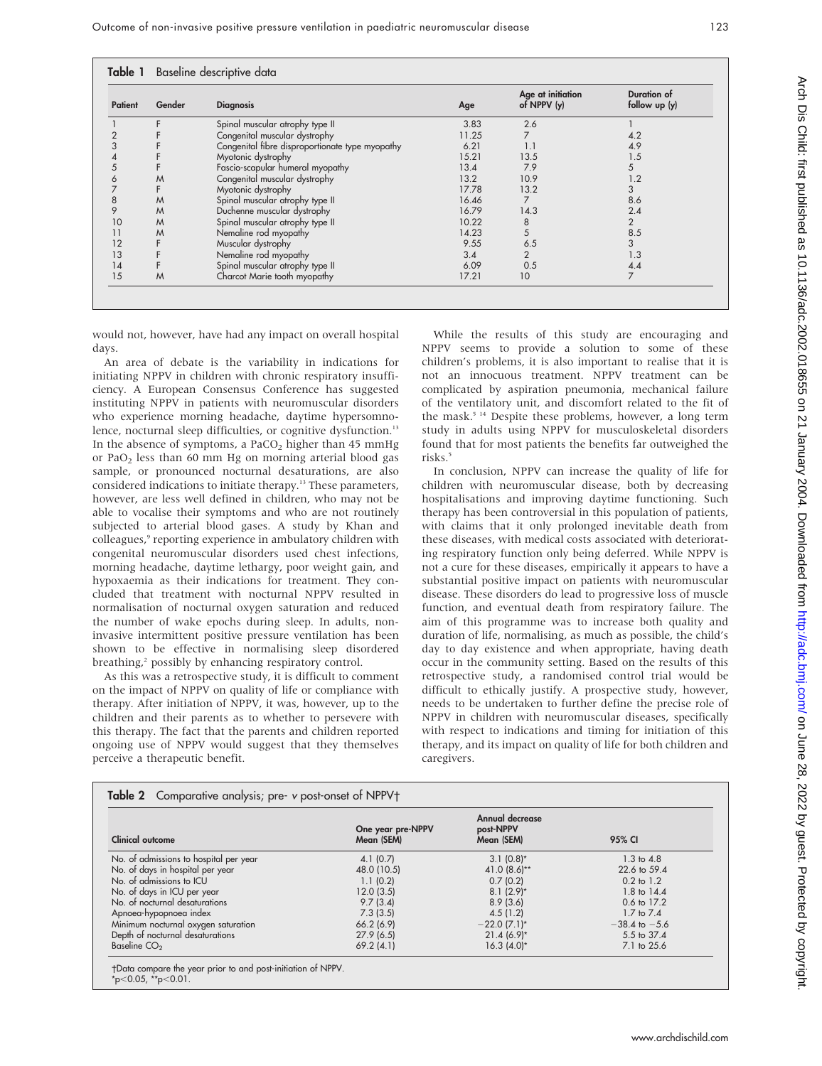| Patient | Gender | <b>Diagnosis</b>                                | Age   | Age at initiation<br>of NPPV (y) | Duration of<br>follow up (y) |
|---------|--------|-------------------------------------------------|-------|----------------------------------|------------------------------|
|         |        | Spinal muscular atrophy type II                 | 3.83  | 2.6                              |                              |
|         |        | Congenital muscular dystrophy                   | 11.25 |                                  | 4.2                          |
|         |        | Congenital fibre disproportionate type myopathy | 6.21  | 1.1                              | 4.9                          |
|         |        | Myotonic dystrophy                              | 15.21 | 13.5                             | 1.5                          |
|         |        | Fascio-scapular humeral myopathy                | 13.4  | 7.9                              | 5                            |
| 6       | M      | Congenital muscular dystrophy                   | 13.2  | 10.9                             | 1.2                          |
|         |        | Myotonic dystrophy                              | 17.78 | 13.2                             | 3                            |
| 8       | M      | Spinal muscular atrophy type II                 | 16.46 |                                  | 8.6                          |
| 9       | M      | Duchenne muscular dystrophy                     | 16.79 | 14.3                             | 2.4                          |
| 10      | M      | Spinal muscular atrophy type II                 | 10.22 | 8                                | $\overline{2}$               |
| 11      | M      | Nemaline rod myopathy                           | 14.23 |                                  | 8.5                          |
| 12      |        | Muscular dystrophy                              | 9.55  | 6.5                              | 3                            |
| 13      |        | Nemaline rod myopathy                           | 3.4   | $\overline{2}$                   | 1.3                          |
| 14      |        | Spinal muscular atrophy type II                 | 6.09  | 0.5                              | 4.4                          |
| 15      | M      | Charcot Marie tooth myopathy                    | 17.21 | 10                               | 7                            |

would not, however, have had any impact on overall hospital days.

An area of debate is the variability in indications for initiating NPPV in children with chronic respiratory insufficiency. A European Consensus Conference has suggested instituting NPPV in patients with neuromuscular disorders who experience morning headache, daytime hypersomnolence, nocturnal sleep difficulties, or cognitive dysfunction.<sup>13</sup> In the absence of symptoms, a PaCO<sub>2</sub> higher than  $45$  mmHg or PaO<sub>2</sub> less than 60 mm Hg on morning arterial blood gas sample, or pronounced nocturnal desaturations, are also considered indications to initiate therapy.13 These parameters, however, are less well defined in children, who may not be able to vocalise their symptoms and who are not routinely subjected to arterial blood gases. A study by Khan and colleagues,<sup>9</sup> reporting experience in ambulatory children with congenital neuromuscular disorders used chest infections, morning headache, daytime lethargy, poor weight gain, and hypoxaemia as their indications for treatment. They concluded that treatment with nocturnal NPPV resulted in normalisation of nocturnal oxygen saturation and reduced the number of wake epochs during sleep. In adults, noninvasive intermittent positive pressure ventilation has been shown to be effective in normalising sleep disordered breathing,<sup>2</sup> possibly by enhancing respiratory control.

As this was a retrospective study, it is difficult to comment on the impact of NPPV on quality of life or compliance with therapy. After initiation of NPPV, it was, however, up to the children and their parents as to whether to persevere with this therapy. The fact that the parents and children reported ongoing use of NPPV would suggest that they themselves perceive a therapeutic benefit.

While the results of this study are encouraging and NPPV seems to provide a solution to some of these children's problems, it is also important to realise that it is not an innocuous treatment. NPPV treatment can be complicated by aspiration pneumonia, mechanical failure of the ventilatory unit, and discomfort related to the fit of the mask.5 14 Despite these problems, however, a long term study in adults using NPPV for musculoskeletal disorders found that for most patients the benefits far outweighed the risks.<sup>5</sup>

In conclusion, NPPV can increase the quality of life for children with neuromuscular disease, both by decreasing hospitalisations and improving daytime functioning. Such therapy has been controversial in this population of patients, with claims that it only prolonged inevitable death from these diseases, with medical costs associated with deteriorating respiratory function only being deferred. While NPPV is not a cure for these diseases, empirically it appears to have a substantial positive impact on patients with neuromuscular disease. These disorders do lead to progressive loss of muscle function, and eventual death from respiratory failure. The aim of this programme was to increase both quality and duration of life, normalising, as much as possible, the child's day to day existence and when appropriate, having death occur in the community setting. Based on the results of this retrospective study, a randomised control trial would be difficult to ethically justify. A prospective study, however, needs to be undertaken to further define the precise role of NPPV in children with neuromuscular diseases, specifically with respect to indications and timing for initiation of this therapy, and its impact on quality of life for both children and caregivers.

| <b>Clinical outcome</b>                | One year pre-NPPV<br>Mean (SEM) | Annual decrease<br>post-NPPV<br>Mean (SEM) | 95% CI<br>$1.3 \text{ to } 4.8$ |
|----------------------------------------|---------------------------------|--------------------------------------------|---------------------------------|
| No. of admissions to hospital per year | 4.1(0.7)                        | $3.1(0.8)$ *                               |                                 |
| No. of days in hospital per year       | 48.0 (10.5)                     | 41.0 $(8.6)$ **                            | 22.6 to 59.4                    |
| No. of admissions to ICU               | 1.1(0.2)                        | 0.7(0.2)                                   | $0.2$ to $1.2$                  |
| No. of days in ICU per year            | 12.0(3.5)                       | $8.1(2.9)*$                                | 1.8 to 14.4                     |
| No. of nocturnal desaturations         | 9.7(3.4)                        | 8.9(3.6)                                   | 0.6 to 17.2                     |
| Apnoea-hypopnoea index                 | 7.3(3.5)                        | 4.5(1.2)                                   | $1.7$ to $7.4$                  |
| Minimum nocturnal oxygen saturation    | 66.2(6.9)                       | $-22.0$ (7.1)*                             | $-38.4$ to $-5.6$               |
| Depth of nocturnal desaturations       | 27.9(6.5)                       | $21.4(6.9)$ *                              | 5.5 to 37.4                     |
| Baseline $CO2$                         | 69.2(4.1)                       | $16.3 (4.0)^*$                             | 7.1 to 25.6                     |

Data compare the year prior to and post-initiation of NPPV.  $*_{p}$  < 0.05,  $*_{p}$  < 0.01